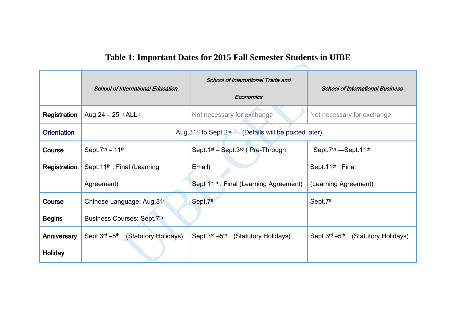## **Table 1: Important Dates for 2015 Fall Semester Students in UIBE**

|                    | <b>School of International Education</b>                                    | <b>School of International Trade and</b><br>Economics    | <b>School of International Business</b> |
|--------------------|-----------------------------------------------------------------------------|----------------------------------------------------------|-----------------------------------------|
| Registration       | Aug.24 $- 25$ (ALL)                                                         | Not necessary for exchange                               | Not necessary for exchange              |
| <b>Orientation</b> | Aug.31 <sup>st</sup> to Sept.2 <sup>nd</sup> (Details will be posted later) |                                                          |                                         |
| Course             | Sept. $7th - 11th$                                                          | Sept.1 <sup>st</sup> – Sept.3 <sup>rd</sup> (Pre-Through | Sept.7th ---Sept.11th                   |
| Registration       | Sept.11 <sup>th</sup> : Final (Learning                                     | Email)                                                   | Sept.11 <sup>th</sup> : Final           |
|                    | Agreement)                                                                  | Sept 11 <sup>th</sup> : Final (Learning Agreement)       | (Learning Agreement)                    |
| Course             | Chinese Language: Aug.31 <sup>st</sup>                                      | Sept.7th                                                 | Sept.7th                                |
| <b>Begins</b>      | Business Courses: Sept.7th                                                  |                                                          |                                         |
| Anniversary        | Sept.3rd -5th<br>(Statutory Holidays)                                       | Sept.3rd -5th<br>(Statutory Holidays)                    | Sept.3rd -5th<br>(Statutory Holidays)   |
| <b>Holiday</b>     |                                                                             |                                                          |                                         |